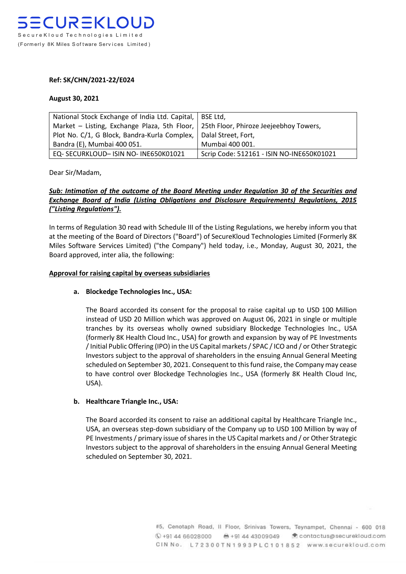## **Ref: SK/CHN/2021-22/E024**

## **August 30, 2021**

| National Stock Exchange of India Ltd. Capital,                                      | BSE Ltd.                                  |
|-------------------------------------------------------------------------------------|-------------------------------------------|
| Market – Listing, Exchange Plaza, 5th Floor, 25th Floor, Phiroze Jeejeebhoy Towers, |                                           |
| Plot No. C/1, G Block, Bandra-Kurla Complex,                                        | Dalal Street, Fort,                       |
| Bandra (E), Mumbai 400 051.                                                         | Mumbai 400 001.                           |
| EQ-SECURKLOUD-ISIN NO-INE650K01021                                                  | Scrip Code: 512161 - ISIN NO-INE650K01021 |

Dear Sir/Madam,

# *Sub: Intimation of the outcome of the Board Meeting under Regulation 30 of the Securities and Exchange Board of India (Listing Obligations and Disclosure Requirements) Regulations, 2015 ("Listing Regulations").*

In terms of Regulation 30 read with Schedule III of the Listing Regulations, we hereby inform you that at the meeting of the Board of Directors ("Board") of SecureKloud Technologies Limited (Formerly 8K Miles Software Services Limited) ("the Company") held today, i.e., Monday, August 30, 2021, the Board approved, inter alia, the following:

# **Approval for raising capital by overseas subsidiaries**

### **a. Blockedge Technologies Inc., USA:**

The Board accorded its consent for the proposal to raise capital up to USD 100 Million instead of USD 20 Million which was approved on August 06, 2021 in single or multiple tranches by its overseas wholly owned subsidiary Blockedge Technologies Inc., USA (formerly 8K Health Cloud Inc., USA) for growth and expansion by way of PE Investments / Initial Public Offering (IPO) in the US Capital markets / SPAC / ICO and / or Other Strategic Investors subject to the approval of shareholders in the ensuing Annual General Meeting scheduled on September 30, 2021. Consequent to this fund raise, the Company may cease to have control over Blockedge Technologies Inc., USA (formerly 8K Health Cloud Inc, USA).

# **b. Healthcare Triangle Inc., USA:**

The Board accorded its consent to raise an additional capital by Healthcare Triangle Inc., USA, an overseas step-down subsidiary of the Company up to USD 100 Million by way of PE Investments / primary issue of shares in the US Capital markets and / or Other Strategic Investors subject to the approval of shareholders in the ensuing Annual General Meeting scheduled on September 30, 2021.